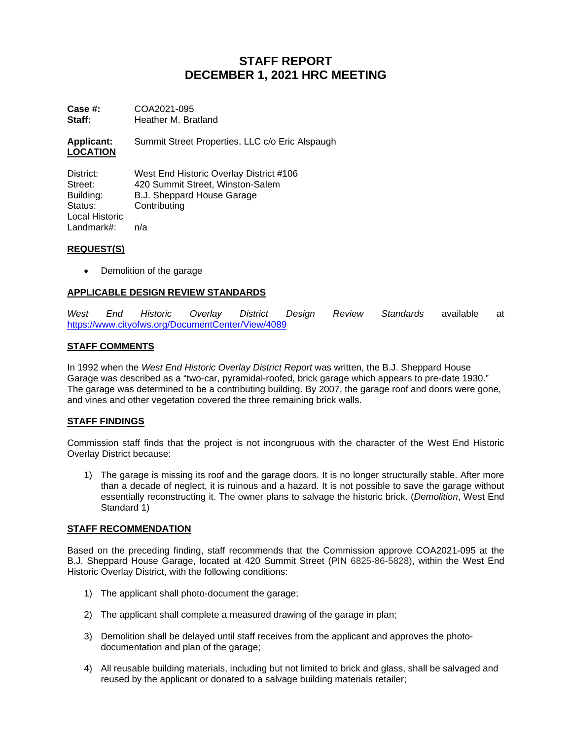# **STAFF REPORT DECEMBER 1, 2021 HRC MEETING**

**Case #:** COA2021-095<br>**Staff:** Heather M. Bra **Staff:** Heather M. Bratland

**Applicant:** Summit Street Properties, LLC c/o Eric Alspaugh **LOCATION**

District: West End Historic Overlay District #106 Street: 420 Summit Street, Winston-Salem<br>
B.J. Sheppard House Garage Building: B.J. Sheppard House Garage<br>Status: Contributing Contributing Local Historic Landmark#: n/a

## **REQUEST(S)**

• Demolition of the garage

## **APPLICABLE DESIGN REVIEW STANDARDS**

*West End Historic Overlay District Design Review Standards* available at <https://www.cityofws.org/DocumentCenter/View/4089>

### **STAFF COMMENTS**

In 1992 when the *West End Historic Overlay District Report* was written, the B.J. Sheppard House Garage was described as a "two-car, pyramidal-roofed, brick garage which appears to pre-date 1930." The garage was determined to be a contributing building. By 2007, the garage roof and doors were gone, and vines and other vegetation covered the three remaining brick walls.

## **STAFF FINDINGS**

Commission staff finds that the project is not incongruous with the character of the West End Historic Overlay District because:

1) The garage is missing its roof and the garage doors. It is no longer structurally stable. After more than a decade of neglect, it is ruinous and a hazard. It is not possible to save the garage without essentially reconstructing it. The owner plans to salvage the historic brick. (*Demolition*, West End Standard 1)

#### **STAFF RECOMMENDATION**

Based on the preceding finding, staff recommends that the Commission approve COA2021-095 at the B.J. Sheppard House Garage, located at 420 Summit Street (PIN 6825-86-5828), within the West End Historic Overlay District, with the following conditions:

- 1) The applicant shall photo-document the garage;
- 2) The applicant shall complete a measured drawing of the garage in plan;
- 3) Demolition shall be delayed until staff receives from the applicant and approves the photodocumentation and plan of the garage;
- 4) All reusable building materials, including but not limited to brick and glass, shall be salvaged and reused by the applicant or donated to a salvage building materials retailer;